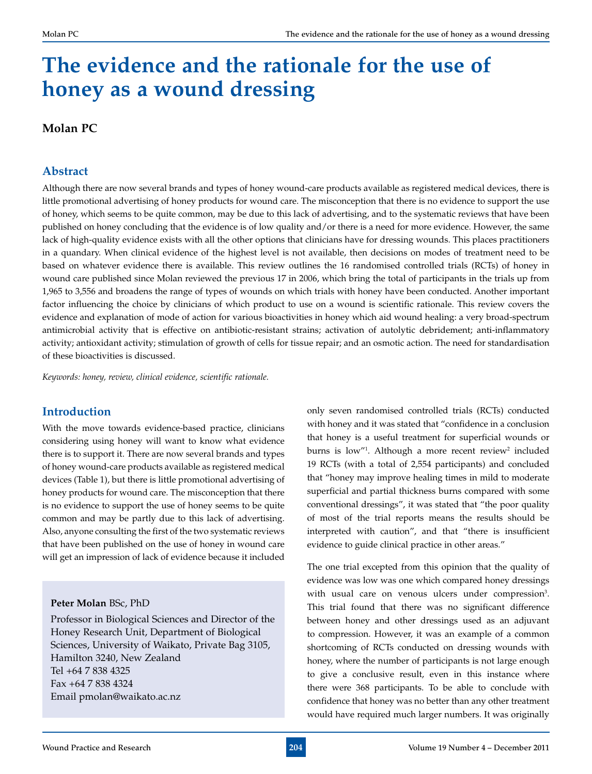# **The evidence and the rationale for the use of honey as a wound dressing**

### **Molan PC**

#### **Abstract**

Although there are now several brands and types of honey wound-care products available as registered medical devices, there is little promotional advertising of honey products for wound care. The misconception that there is no evidence to support the use of honey, which seems to be quite common, may be due to this lack of advertising, and to the systematic reviews that have been published on honey concluding that the evidence is of low quality and/or there is a need for more evidence. However, the same lack of high-quality evidence exists with all the other options that clinicians have for dressing wounds. This places practitioners in a quandary. When clinical evidence of the highest level is not available, then decisions on modes of treatment need to be based on whatever evidence there is available. This review outlines the 16 randomised controlled trials (RCTs) of honey in wound care published since Molan reviewed the previous 17 in 2006, which bring the total of participants in the trials up from 1,965 to 3,556 and broadens the range of types of wounds on which trials with honey have been conducted. Another important factor influencing the choice by clinicians of which product to use on a wound is scientific rationale. This review covers the evidence and explanation of mode of action for various bioactivities in honey which aid wound healing: a very broad-spectrum antimicrobial activity that is effective on antibiotic-resistant strains; activation of autolytic debridement; anti-inflammatory activity; antioxidant activity; stimulation of growth of cells for tissue repair; and an osmotic action. The need for standardisation of these bioactivities is discussed.

*Keywords: honey, review, clinical evidence, scientific rationale.*

#### **Introduction**

With the move towards evidence-based practice, clinicians considering using honey will want to know what evidence there is to support it. There are now several brands and types of honey wound-care products available as registered medical devices (Table 1), but there is little promotional advertising of honey products for wound care. The misconception that there is no evidence to support the use of honey seems to be quite common and may be partly due to this lack of advertising. Also, anyone consulting the first of the two systematic reviews that have been published on the use of honey in wound care will get an impression of lack of evidence because it included

#### **Peter Molan** BSc, PhD

Professor in Biological Sciences and Director of the Honey Research Unit, Department of Biological Sciences, University of Waikato, Private Bag 3105, Hamilton 3240, New Zealand Tel +64 7 838 4325 Fax +64 7 838 4324 Email pmolan@waikato.ac.nz

only seven randomised controlled trials (RCTs) conducted with honey and it was stated that "confidence in a conclusion that honey is a useful treatment for superficial wounds or burns is low"<sup>1</sup>. Although a more recent review<sup>2</sup> included 19 RCTs (with a total of 2,554 participants) and concluded that "honey may improve healing times in mild to moderate superficial and partial thickness burns compared with some conventional dressings", it was stated that "the poor quality of most of the trial reports means the results should be interpreted with caution", and that "there is insufficient evidence to guide clinical practice in other areas."

The one trial excepted from this opinion that the quality of evidence was low was one which compared honey dressings with usual care on venous ulcers under compression<sup>3</sup>. This trial found that there was no significant difference between honey and other dressings used as an adjuvant to compression. However, it was an example of a common shortcoming of RCTs conducted on dressing wounds with honey, where the number of participants is not large enough to give a conclusive result, even in this instance where there were 368 participants. To be able to conclude with confidence that honey was no better than any other treatment would have required much larger numbers. It was originally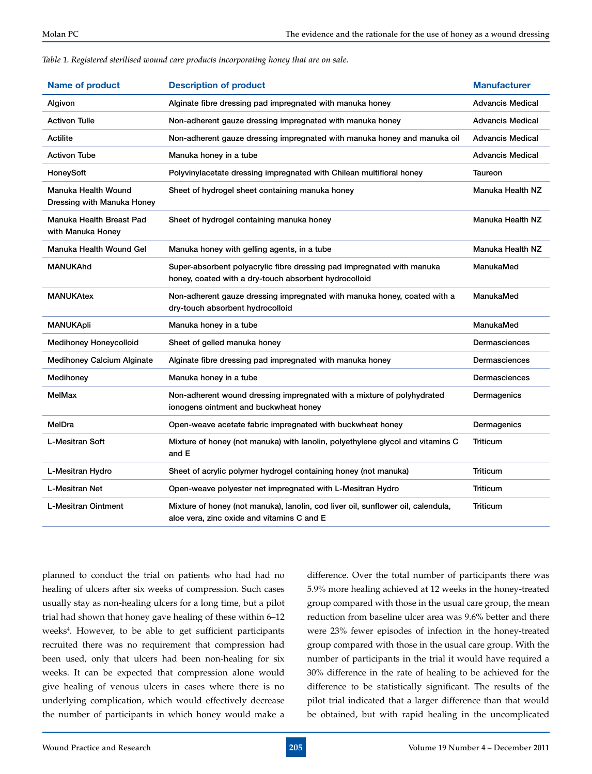|  |  | Table 1. Registered sterilised wound care products incorporating honey that are on sale. |  |  |
|--|--|------------------------------------------------------------------------------------------|--|--|
|  |  |                                                                                          |  |  |

| <b>Name of product</b>                                   | <b>Description of product</b>                                                                                                   | <b>Manufacturer</b>     |
|----------------------------------------------------------|---------------------------------------------------------------------------------------------------------------------------------|-------------------------|
| Algivon                                                  | Alginate fibre dressing pad impregnated with manuka honey                                                                       | <b>Advancis Medical</b> |
| <b>Activon Tulle</b>                                     | Non-adherent gauze dressing impregnated with manuka honey                                                                       | <b>Advancis Medical</b> |
| Actilite                                                 | Non-adherent gauze dressing impregnated with manuka honey and manuka oil                                                        | <b>Advancis Medical</b> |
| <b>Activon Tube</b>                                      | Manuka honey in a tube                                                                                                          | <b>Advancis Medical</b> |
| HoneySoft                                                | Polyvinylacetate dressing impregnated with Chilean multifloral honey                                                            | Taureon                 |
| <b>Manuka Health Wound</b><br>Dressing with Manuka Honey | Sheet of hydrogel sheet containing manuka honey                                                                                 | Manuka Health NZ        |
| Manuka Health Breast Pad<br>with Manuka Honey            | Sheet of hydrogel containing manuka honey                                                                                       | Manuka Health NZ        |
| Manuka Health Wound Gel                                  | Manuka honey with gelling agents, in a tube                                                                                     | Manuka Health NZ        |
| <b>MANUKAhd</b>                                          | Super-absorbent polyacrylic fibre dressing pad impregnated with manuka<br>honey, coated with a dry-touch absorbent hydrocolloid | ManukaMed               |
| <b>MANUKAtex</b>                                         | Non-adherent gauze dressing impregnated with manuka honey, coated with a<br>dry-touch absorbent hydrocolloid                    | ManukaMed               |
| <b>MANUKApli</b>                                         | Manuka honey in a tube                                                                                                          | ManukaMed               |
| <b>Medihoney Honeycolloid</b>                            | Sheet of gelled manuka honey                                                                                                    | <b>Dermasciences</b>    |
| <b>Medihoney Calcium Alginate</b>                        | Alginate fibre dressing pad impregnated with manuka honey                                                                       | <b>Dermasciences</b>    |
| Medihoney                                                | Manuka honey in a tube                                                                                                          | Dermasciences           |
| <b>MelMax</b>                                            | Non-adherent wound dressing impregnated with a mixture of polyhydrated<br>ionogens ointment and buckwheat honey                 | Dermagenics             |
| MelDra                                                   | Open-weave acetate fabric impregnated with buckwheat honey                                                                      | Dermagenics             |
| <b>L-Mesitran Soft</b>                                   | Mixture of honey (not manuka) with lanolin, polyethylene glycol and vitamins C<br>and E                                         | Triticum                |
| L-Mesitran Hydro                                         | Sheet of acrylic polymer hydrogel containing honey (not manuka)                                                                 | <b>Triticum</b>         |
| <b>L-Mesitran Net</b>                                    | Open-weave polyester net impregnated with L-Mesitran Hydro                                                                      | <b>Triticum</b>         |
| <b>L-Mesitran Ointment</b>                               | Mixture of honey (not manuka), lanolin, cod liver oil, sunflower oil, calendula,<br>aloe vera, zinc oxide and vitamins C and E  | Triticum                |

planned to conduct the trial on patients who had had no healing of ulcers after six weeks of compression. Such cases usually stay as non-healing ulcers for a long time, but a pilot trial had shown that honey gave healing of these within 6–12 weeks<sup>4</sup>. However, to be able to get sufficient participants recruited there was no requirement that compression had been used, only that ulcers had been non-healing for six weeks. It can be expected that compression alone would give healing of venous ulcers in cases where there is no underlying complication, which would effectively decrease the number of participants in which honey would make a

difference. Over the total number of participants there was 5.9% more healing achieved at 12 weeks in the honey-treated group compared with those in the usual care group, the mean reduction from baseline ulcer area was 9.6% better and there were 23% fewer episodes of infection in the honey-treated group compared with those in the usual care group. With the number of participants in the trial it would have required a 30% difference in the rate of healing to be achieved for the difference to be statistically significant. The results of the pilot trial indicated that a larger difference than that would be obtained, but with rapid healing in the uncomplicated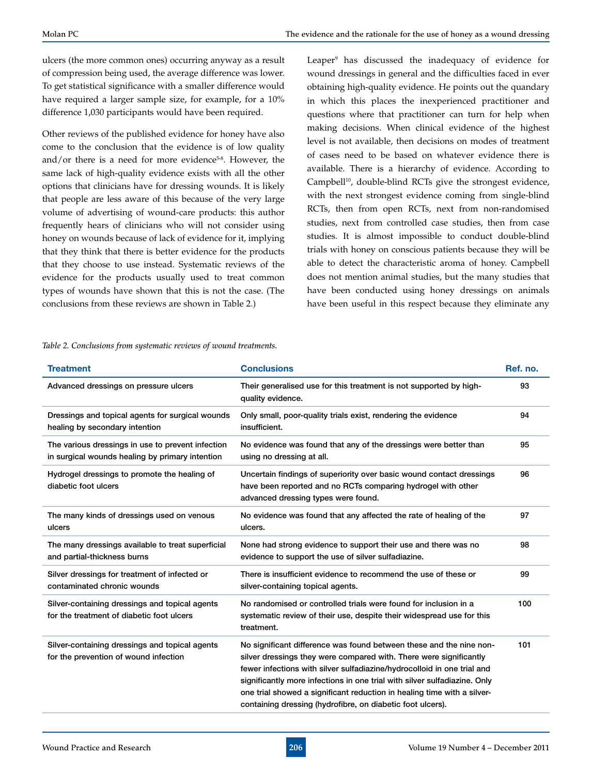ulcers (the more common ones) occurring anyway as a result of compression being used, the average difference was lower. To get statistical significance with a smaller difference would have required a larger sample size, for example, for a 10% difference 1,030 participants would have been required.

Other reviews of the published evidence for honey have also come to the conclusion that the evidence is of low quality and/or there is a need for more evidence $5-8$ . However, the same lack of high-quality evidence exists with all the other options that clinicians have for dressing wounds. It is likely that people are less aware of this because of the very large volume of advertising of wound-care products: this author frequently hears of clinicians who will not consider using honey on wounds because of lack of evidence for it, implying that they think that there is better evidence for the products that they choose to use instead. Systematic reviews of the evidence for the products usually used to treat common types of wounds have shown that this is not the case. (The conclusions from these reviews are shown in Table 2.)

Leaper9 has discussed the inadequacy of evidence for wound dressings in general and the difficulties faced in ever obtaining high-quality evidence. He points out the quandary in which this places the inexperienced practitioner and questions where that practitioner can turn for help when making decisions. When clinical evidence of the highest level is not available, then decisions on modes of treatment of cases need to be based on whatever evidence there is available. There is a hierarchy of evidence. According to Campbell<sup>10</sup>, double-blind RCTs give the strongest evidence, with the next strongest evidence coming from single-blind RCTs, then from open RCTs, next from non-randomised studies, next from controlled case studies, then from case studies. It is almost impossible to conduct double-blind trials with honey on conscious patients because they will be able to detect the characteristic aroma of honey. Campbell does not mention animal studies, but the many studies that have been conducted using honey dressings on animals have been useful in this respect because they eliminate any

| Table 2. Conclusions from systematic reviews of wound treatments. |  |  |  |
|-------------------------------------------------------------------|--|--|--|
|                                                                   |  |  |  |

| <b>Treatment</b>                                                                                     | <b>Conclusions</b>                                                                                                                                                                                                                                                                                                                                                                                                                         | Ref. no. |
|------------------------------------------------------------------------------------------------------|--------------------------------------------------------------------------------------------------------------------------------------------------------------------------------------------------------------------------------------------------------------------------------------------------------------------------------------------------------------------------------------------------------------------------------------------|----------|
| Advanced dressings on pressure ulcers                                                                | Their generalised use for this treatment is not supported by high-<br>quality evidence.                                                                                                                                                                                                                                                                                                                                                    | 93       |
| Dressings and topical agents for surgical wounds<br>healing by secondary intention                   | Only small, poor-quality trials exist, rendering the evidence<br>insufficient.                                                                                                                                                                                                                                                                                                                                                             | 94       |
| The various dressings in use to prevent infection<br>in surgical wounds healing by primary intention | No evidence was found that any of the dressings were better than<br>using no dressing at all.                                                                                                                                                                                                                                                                                                                                              | 95       |
| Hydrogel dressings to promote the healing of<br>diabetic foot ulcers                                 | Uncertain findings of superiority over basic wound contact dressings<br>have been reported and no RCTs comparing hydrogel with other<br>advanced dressing types were found.                                                                                                                                                                                                                                                                | 96       |
| The many kinds of dressings used on venous<br>ulcers                                                 | No evidence was found that any affected the rate of healing of the<br>ulcers.                                                                                                                                                                                                                                                                                                                                                              | 97       |
| The many dressings available to treat superficial<br>and partial-thickness burns                     | None had strong evidence to support their use and there was no<br>evidence to support the use of silver sulfadiazine.                                                                                                                                                                                                                                                                                                                      | 98       |
| Silver dressings for treatment of infected or<br>contaminated chronic wounds                         | There is insufficient evidence to recommend the use of these or<br>silver-containing topical agents.                                                                                                                                                                                                                                                                                                                                       | 99       |
| Silver-containing dressings and topical agents<br>for the treatment of diabetic foot ulcers          | No randomised or controlled trials were found for inclusion in a<br>systematic review of their use, despite their widespread use for this<br>treatment.                                                                                                                                                                                                                                                                                    | 100      |
| Silver-containing dressings and topical agents<br>for the prevention of wound infection              | No significant difference was found between these and the nine non-<br>silver dressings they were compared with. There were significantly<br>fewer infections with silver sulfadiazine/hydrocolloid in one trial and<br>significantly more infections in one trial with silver sulfadiazine. Only<br>one trial showed a significant reduction in healing time with a silver-<br>containing dressing (hydrofibre, on diabetic foot ulcers). | 101      |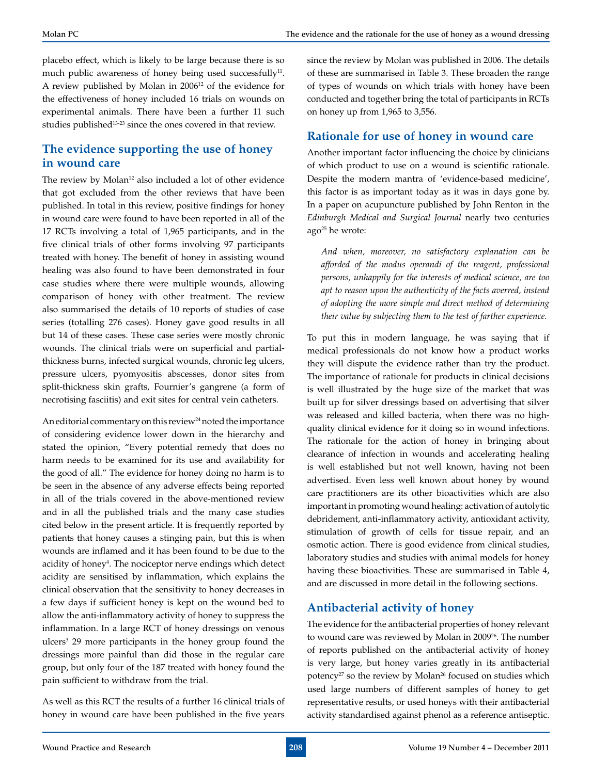placebo effect, which is likely to be large because there is so much public awareness of honey being used successfully<sup>11</sup>. A review published by Molan in 200612 of the evidence for the effectiveness of honey included 16 trials on wounds on experimental animals. There have been a further 11 such studies published<sup>13-23</sup> since the ones covered in that review.

### **The evidence supporting the use of honey in wound care**

The review by Molan<sup>12</sup> also included a lot of other evidence that got excluded from the other reviews that have been published. In total in this review, positive findings for honey in wound care were found to have been reported in all of the 17 RCTs involving a total of 1,965 participants, and in the five clinical trials of other forms involving 97 participants treated with honey. The benefit of honey in assisting wound healing was also found to have been demonstrated in four case studies where there were multiple wounds, allowing comparison of honey with other treatment. The review also summarised the details of 10 reports of studies of case series (totalling 276 cases). Honey gave good results in all but 14 of these cases. These case series were mostly chronic wounds. The clinical trials were on superficial and partialthickness burns, infected surgical wounds, chronic leg ulcers, pressure ulcers, pyomyositis abscesses, donor sites from split-thickness skin grafts, Fournier's gangrene (a form of necrotising fasciitis) and exit sites for central vein catheters.

An editorial commentary on this review<sup>24</sup> noted the importance of considering evidence lower down in the hierarchy and stated the opinion, "Every potential remedy that does no harm needs to be examined for its use and availability for the good of all." The evidence for honey doing no harm is to be seen in the absence of any adverse effects being reported in all of the trials covered in the above-mentioned review and in all the published trials and the many case studies cited below in the present article. It is frequently reported by patients that honey causes a stinging pain, but this is when wounds are inflamed and it has been found to be due to the acidity of honey<sup>4</sup>. The nociceptor nerve endings which detect acidity are sensitised by inflammation, which explains the clinical observation that the sensitivity to honey decreases in a few days if sufficient honey is kept on the wound bed to allow the anti-inflammatory activity of honey to suppress the inflammation. In a large RCT of honey dressings on venous ulcers<sup>3</sup> 29 more participants in the honey group found the dressings more painful than did those in the regular care group, but only four of the 187 treated with honey found the pain sufficient to withdraw from the trial.

As well as this RCT the results of a further 16 clinical trials of honey in wound care have been published in the five years since the review by Molan was published in 2006. The details of these are summarised in Table 3. These broaden the range of types of wounds on which trials with honey have been conducted and together bring the total of participants in RCTs on honey up from 1,965 to 3,556.

# **Rationale for use of honey in wound care**

Another important factor influencing the choice by clinicians of which product to use on a wound is scientific rationale. Despite the modern mantra of 'evidence-based medicine', this factor is as important today as it was in days gone by. In a paper on acupuncture published by John Renton in the *Edinburgh Medical and Surgical Journal* nearly two centuries  $ago^{25}$  he wrote:

*And when, moreover, no satisfactory explanation can be afforded of the modus operandi of the reagent, professional persons, unhappily for the interests of medical science, are too apt to reason upon the authenticity of the facts averred, instead of adopting the more simple and direct method of determining their value by subjecting them to the test of farther experience.* 

To put this in modern language, he was saying that if medical professionals do not know how a product works they will dispute the evidence rather than try the product. The importance of rationale for products in clinical decisions is well illustrated by the huge size of the market that was built up for silver dressings based on advertising that silver was released and killed bacteria, when there was no highquality clinical evidence for it doing so in wound infections. The rationale for the action of honey in bringing about clearance of infection in wounds and accelerating healing is well established but not well known, having not been advertised. Even less well known about honey by wound care practitioners are its other bioactivities which are also important in promoting wound healing: activation of autolytic debridement, anti-inflammatory activity, antioxidant activity, stimulation of growth of cells for tissue repair, and an osmotic action. There is good evidence from clinical studies, laboratory studies and studies with animal models for honey having these bioactivities. These are summarised in Table 4, and are discussed in more detail in the following sections.

# **Antibacterial activity of honey**

The evidence for the antibacterial properties of honey relevant to wound care was reviewed by Molan in 2009<sup>26</sup>. The number of reports published on the antibacterial activity of honey is very large, but honey varies greatly in its antibacterial potency<sup>27</sup> so the review by Molan<sup>26</sup> focused on studies which used large numbers of different samples of honey to get representative results, or used honeys with their antibacterial activity standardised against phenol as a reference antiseptic.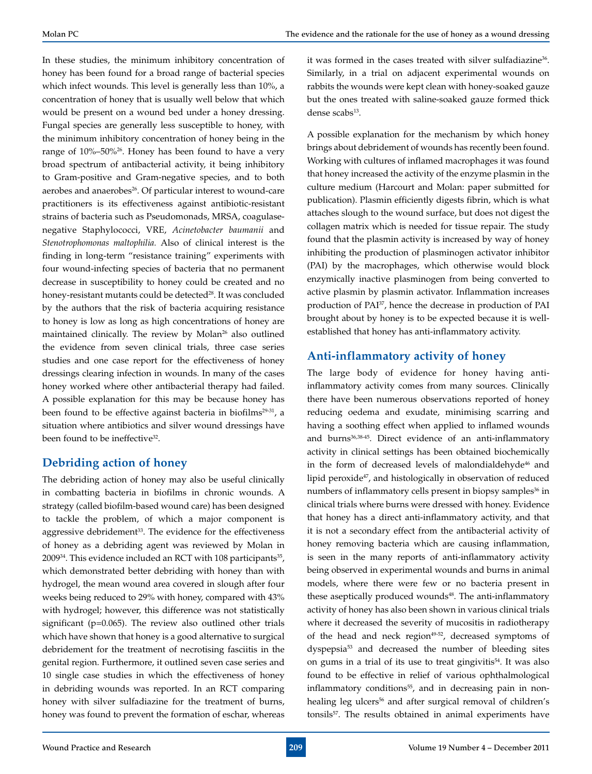In these studies, the minimum inhibitory concentration of honey has been found for a broad range of bacterial species which infect wounds. This level is generally less than 10%, a concentration of honey that is usually well below that which would be present on a wound bed under a honey dressing. Fungal species are generally less susceptible to honey, with the minimum inhibitory concentration of honey being in the range of 10%–50%<sup>26</sup>. Honey has been found to have a very broad spectrum of antibacterial activity, it being inhibitory to Gram-positive and Gram-negative species, and to both aerobes and anaerobes<sup>26</sup>. Of particular interest to wound-care practitioners is its effectiveness against antibiotic-resistant strains of bacteria such as Pseudomonads, MRSA, coagulasenegative Staphylococci, VRE, *Acinetobacter baumanii* and *Stenotrophomonas maltophilia.* Also of clinical interest is the finding in long-term "resistance training" experiments with four wound-infecting species of bacteria that no permanent decrease in susceptibility to honey could be created and no honey-resistant mutants could be detected<sup>28</sup>. It was concluded by the authors that the risk of bacteria acquiring resistance to honey is low as long as high concentrations of honey are maintained clinically. The review by Molan<sup>26</sup> also outlined the evidence from seven clinical trials, three case series studies and one case report for the effectiveness of honey dressings clearing infection in wounds. In many of the cases honey worked where other antibacterial therapy had failed. A possible explanation for this may be because honey has been found to be effective against bacteria in biofilms<sup>29-31</sup>, a situation where antibiotics and silver wound dressings have been found to be ineffective<sup>32</sup>.

### **Debriding action of honey**

The debriding action of honey may also be useful clinically in combatting bacteria in biofilms in chronic wounds. A strategy (called biofilm-based wound care) has been designed to tackle the problem, of which a major component is aggressive debridement<sup>33</sup>. The evidence for the effectiveness of honey as a debriding agent was reviewed by Molan in  $2009^{34}$ . This evidence included an RCT with 108 participants<sup>35</sup>, which demonstrated better debriding with honey than with hydrogel, the mean wound area covered in slough after four weeks being reduced to 29% with honey, compared with 43% with hydrogel; however, this difference was not statistically significant (p=0.065). The review also outlined other trials which have shown that honey is a good alternative to surgical debridement for the treatment of necrotising fasciitis in the genital region. Furthermore, it outlined seven case series and 10 single case studies in which the effectiveness of honey in debriding wounds was reported. In an RCT comparing honey with silver sulfadiazine for the treatment of burns, honey was found to prevent the formation of eschar, whereas it was formed in the cases treated with silver sulfadiazine<sup>36</sup>. Similarly, in a trial on adjacent experimental wounds on rabbits the wounds were kept clean with honey-soaked gauze but the ones treated with saline-soaked gauze formed thick dense scabs<sup>13</sup>.

A possible explanation for the mechanism by which honey brings about debridement of wounds has recently been found. Working with cultures of inflamed macrophages it was found that honey increased the activity of the enzyme plasmin in the culture medium (Harcourt and Molan: paper submitted for publication). Plasmin efficiently digests fibrin, which is what attaches slough to the wound surface, but does not digest the collagen matrix which is needed for tissue repair. The study found that the plasmin activity is increased by way of honey inhibiting the production of plasminogen activator inhibitor (PAI) by the macrophages, which otherwise would block enzymically inactive plasminogen from being converted to active plasmin by plasmin activator. Inflammation increases production of PAI37, hence the decrease in production of PAI brought about by honey is to be expected because it is wellestablished that honey has anti-inflammatory activity.

### **Anti-inflammatory activity of honey**

The large body of evidence for honey having antiinflammatory activity comes from many sources. Clinically there have been numerous observations reported of honey reducing oedema and exudate, minimising scarring and having a soothing effect when applied to inflamed wounds and burns<sup>36,38-45</sup>. Direct evidence of an anti-inflammatory activity in clinical settings has been obtained biochemically in the form of decreased levels of malondialdehyde<sup>46</sup> and lipid peroxide<sup>47</sup>, and histologically in observation of reduced numbers of inflammatory cells present in biopsy samples<sup>36</sup> in clinical trials where burns were dressed with honey. Evidence that honey has a direct anti-inflammatory activity, and that it is not a secondary effect from the antibacterial activity of honey removing bacteria which are causing inflammation, is seen in the many reports of anti-inflammatory activity being observed in experimental wounds and burns in animal models, where there were few or no bacteria present in these aseptically produced wounds<sup>48</sup>. The anti-inflammatory activity of honey has also been shown in various clinical trials where it decreased the severity of mucositis in radiotherapy of the head and neck region $49-52$ , decreased symptoms of dyspepsia<sup>53</sup> and decreased the number of bleeding sites on gums in a trial of its use to treat gingivitis<sup>54</sup>. It was also found to be effective in relief of various ophthalmological inflammatory conditions<sup>55</sup>, and in decreasing pain in nonhealing leg ulcers<sup>56</sup> and after surgical removal of children's tonsils<sup>57</sup>. The results obtained in animal experiments have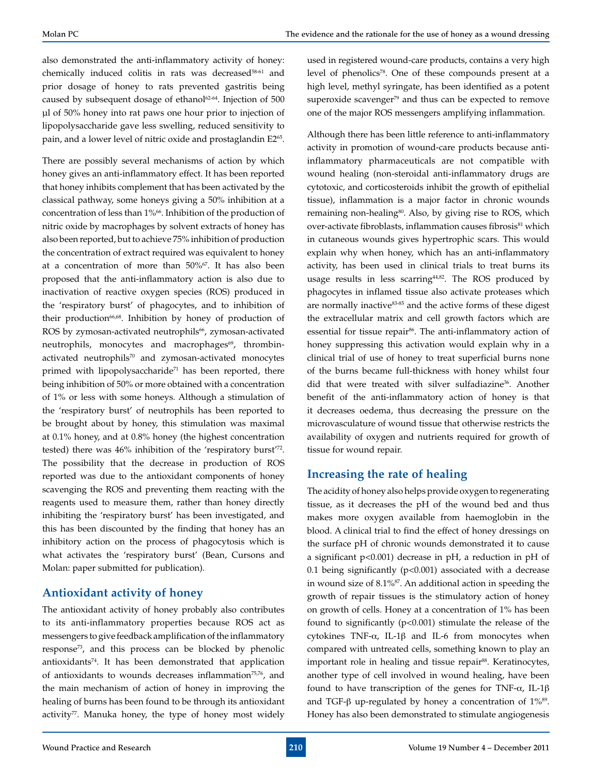also demonstrated the anti-inflammatory activity of honey: chemically induced colitis in rats was decreased<sup>58-61</sup> and prior dosage of honey to rats prevented gastritis being caused by subsequent dosage of ethanol<sup>62-64</sup>. Injection of 500 µl of 50% honey into rat paws one hour prior to injection of lipopolysaccharide gave less swelling, reduced sensitivity to pain, and a lower level of nitric oxide and prostaglandin E2<sup>65</sup>.

There are possibly several mechanisms of action by which honey gives an anti-inflammatory effect. It has been reported that honey inhibits complement that has been activated by the classical pathway, some honeys giving a 50% inhibition at a concentration of less than 1%66. Inhibition of the production of nitric oxide by macrophages by solvent extracts of honey has also been reported, but to achieve 75% inhibition of production the concentration of extract required was equivalent to honey at a concentration of more than 50%67. It has also been proposed that the anti-inflammatory action is also due to inactivation of reactive oxygen species (ROS) produced in the 'respiratory burst' of phagocytes, and to inhibition of their production<sup>66,68</sup>. Inhibition by honey of production of ROS by zymosan-activated neutrophils<sup>66</sup>, zymosan-activated neutrophils, monocytes and macrophages<sup>69</sup>, thrombinactivated neutrophils<sup>70</sup> and zymosan-activated monocytes primed with lipopolysaccharide<sup>71</sup> has been reported, there being inhibition of 50% or more obtained with a concentration of 1% or less with some honeys. Although a stimulation of the 'respiratory burst' of neutrophils has been reported to be brought about by honey, this stimulation was maximal at 0.1% honey, and at 0.8% honey (the highest concentration tested) there was 46% inhibition of the 'respiratory burst'<sup>72</sup>. The possibility that the decrease in production of ROS reported was due to the antioxidant components of honey scavenging the ROS and preventing them reacting with the reagents used to measure them, rather than honey directly inhibiting the 'respiratory burst' has been investigated, and this has been discounted by the finding that honey has an inhibitory action on the process of phagocytosis which is what activates the 'respiratory burst' (Bean, Cursons and Molan: paper submitted for publication).

# **Antioxidant activity of honey**

The antioxidant activity of honey probably also contributes to its anti-inflammatory properties because ROS act as messengers to give feedback amplification of the inflammatory response73, and this process can be blocked by phenolic antioxidants74. It has been demonstrated that application of antioxidants to wounds decreases inflammation<sup>75,76</sup>, and the main mechanism of action of honey in improving the healing of burns has been found to be through its antioxidant activity<sup>77</sup>. Manuka honey, the type of honey most widely

used in registered wound-care products, contains a very high level of phenolics<sup>78</sup>. One of these compounds present at a high level, methyl syringate, has been identified as a potent superoxide scavenger $79$  and thus can be expected to remove one of the major ROS messengers amplifying inflammation.

Although there has been little reference to anti-inflammatory activity in promotion of wound-care products because antiinflammatory pharmaceuticals are not compatible with wound healing (non-steroidal anti-inflammatory drugs are cytotoxic, and corticosteroids inhibit the growth of epithelial tissue), inflammation is a major factor in chronic wounds remaining non-healing<sup>80</sup>. Also, by giving rise to ROS, which over-activate fibroblasts, inflammation causes fibrosis<sup>81</sup> which in cutaneous wounds gives hypertrophic scars. This would explain why when honey, which has an anti-inflammatory activity, has been used in clinical trials to treat burns its usage results in less scarring<sup>44,82</sup>. The ROS produced by phagocytes in inflamed tissue also activate proteases which are normally inactive<sup>83-85</sup> and the active forms of these digest the extracellular matrix and cell growth factors which are essential for tissue repair<sup>86</sup>. The anti-inflammatory action of honey suppressing this activation would explain why in a clinical trial of use of honey to treat superficial burns none of the burns became full-thickness with honey whilst four did that were treated with silver sulfadiazine<sup>36</sup>. Another benefit of the anti-inflammatory action of honey is that it decreases oedema, thus decreasing the pressure on the microvasculature of wound tissue that otherwise restricts the availability of oxygen and nutrients required for growth of tissue for wound repair.

# **Increasing the rate of healing**

The acidity of honey also helps provide oxygen to regenerating tissue, as it decreases the pH of the wound bed and thus makes more oxygen available from haemoglobin in the blood. A clinical trial to find the effect of honey dressings on the surface pH of chronic wounds demonstrated it to cause a significant p<0.001) decrease in pH, a reduction in pH of 0.1 being significantly (p<0.001) associated with a decrease in wound size of  $8.1\%$ <sup>87</sup>. An additional action in speeding the growth of repair tissues is the stimulatory action of honey on growth of cells. Honey at a concentration of 1% has been found to significantly (p<0.001) stimulate the release of the cytokines TNF-α, IL-1β and IL-6 from monocytes when compared with untreated cells, something known to play an important role in healing and tissue repair<sup>88</sup>. Keratinocytes, another type of cell involved in wound healing, have been found to have transcription of the genes for TNF- $\alpha$ , IL-1 $\beta$ and TGF- $\beta$  up-regulated by honey a concentration of 1%<sup>89</sup>. Honey has also been demonstrated to stimulate angiogenesis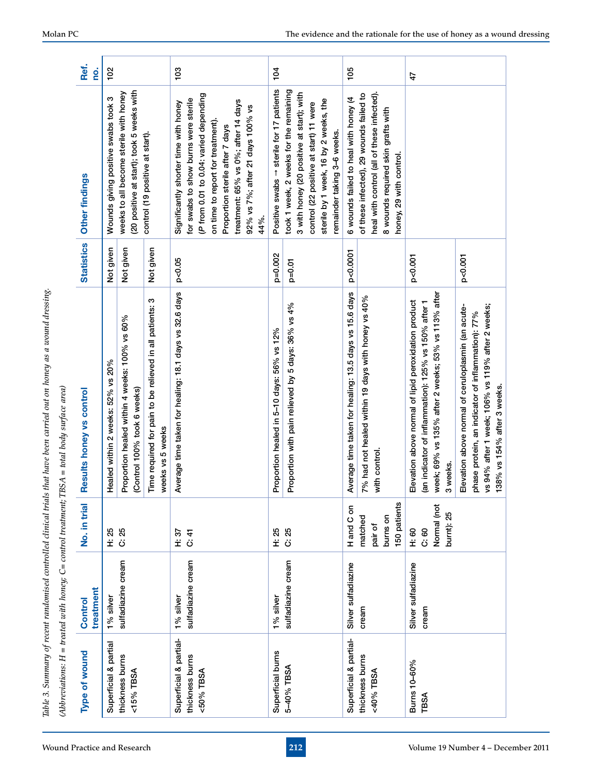| ١                   |
|---------------------|
|                     |
|                     |
|                     |
|                     |
|                     |
|                     |
|                     |
|                     |
|                     |
|                     |
|                     |
|                     |
|                     |
| j                   |
|                     |
|                     |
|                     |
|                     |
|                     |
|                     |
|                     |
|                     |
|                     |
|                     |
|                     |
|                     |
|                     |
|                     |
|                     |
|                     |
|                     |
|                     |
|                     |
|                     |
|                     |
|                     |
|                     |
|                     |
|                     |
|                     |
|                     |
| i                   |
|                     |
|                     |
|                     |
|                     |
|                     |
|                     |
|                     |
|                     |
|                     |
|                     |
|                     |
|                     |
|                     |
|                     |
|                     |
|                     |
|                     |
|                     |
|                     |
|                     |
|                     |
|                     |
|                     |
|                     |
|                     |
|                     |
|                     |
|                     |
|                     |
|                     |
|                     |
|                     |
|                     |
| d                   |
|                     |
|                     |
|                     |
| $\overline{a}$<br>ś |

| ا<br>ا                                        |
|-----------------------------------------------|
| 5                                             |
|                                               |
| -<br>נו<br>$\overline{\mathcal{L}}$<br>١<br>l |
|                                               |
|                                               |
| :<br>ا<br>I                                   |
| .<br>.<br>.                                   |
|                                               |
| $\begin{array}{c} \n\hline\n\end{array}$      |
| í                                             |
| ا<br>ا                                        |
| $\frac{1}{2}$                                 |
|                                               |

| Type of wound                                          | treatment<br>Control            | No. in trial                                   | Results honey vs control                                                                                                                                                                  | <b>Statistics</b> | Other findings                                                                                                                                                                                                                                                                     | Ref.<br><u>o</u> |
|--------------------------------------------------------|---------------------------------|------------------------------------------------|-------------------------------------------------------------------------------------------------------------------------------------------------------------------------------------------|-------------------|------------------------------------------------------------------------------------------------------------------------------------------------------------------------------------------------------------------------------------------------------------------------------------|------------------|
| Superficial & partial                                  | 1% silver                       | H: 25                                          | Healed within 2 weeks: 52% vs 20%                                                                                                                                                         | Not given         | Wounds giving positive swabs took 3                                                                                                                                                                                                                                                | 102              |
| thickness burns<br><15% TBSA                           | sulfadiazine cream              | C: 25                                          | Proportion healed within 4 weeks: 100% vs 60%<br>(Control 100% took 6 weeks)                                                                                                              | Not given         | (20 positive at start); took 5 weeks with<br>weeks to all become sterile with honey                                                                                                                                                                                                |                  |
|                                                        |                                 |                                                | Time required for pain to be relieved in all patients: 3<br>weeks vs 5 weeks                                                                                                              | Not given         | control (19 positive at start)                                                                                                                                                                                                                                                     |                  |
| Superficial & partial-<br>thickness burns<br><50% TBSA | sulfadiazine cream<br>1% silver | H: 37<br>C: 41                                 | Average time taken for healing: 18.1 days vs 32.6 days                                                                                                                                    | p<0.05            | (P from 0.01 to 0.04: varied depending<br>for swabs to show burns were sterile<br>treatment: 65% vs 0%; after 14 days<br>Significantly shorter time with honey<br>92% vs 7%; after 21 days 100% vs<br>on time to report for treatment).<br>Proportion sterile after 7 days<br>44%. | 103              |
| Superficial burns                                      | 1% silver                       | H: 25                                          | Proportion healed in 5-10 days: 56% vs 12%                                                                                                                                                | p=0.002           | Positive swabs $\rightarrow$ sterile for 17 patients                                                                                                                                                                                                                               | 104              |
| 5-40% TBSA                                             | sulfadiazine cream              | C: 25                                          | Proportion with pain relieved by 5 days: 36% vs 4%                                                                                                                                        | $p=0.01$          | took 1 week, 2 weeks for the remaining<br>3 with honey (20 positive at start); with<br>sterile by 1 week, 16 by 2 weeks, the<br>control (22 positive at start) 11 were<br>remainder taking 3-6 weeks.                                                                              |                  |
| Superficial & partial-                                 | Silver sulfadiazine             | H and C on                                     | Average time taken for healing: 13.5 days vs 15.6 days                                                                                                                                    | p<0.0001          | 6 wounds failed to heal with honey (4                                                                                                                                                                                                                                              | 105              |
| thickness burns<br><40% TBSA                           | cream                           | 150 patients<br>burns on<br>matched<br>pair of | 7% had not healed within 19 days with honey vs 40%<br>with control                                                                                                                        |                   | heal with control (all of these infected).<br>of these infected), 29 wounds failed to<br>8 wounds required skin grafts with<br>honey, 29 with control.                                                                                                                             |                  |
| Bums 10-60%<br>TBSA                                    | Silver sulfadiazine<br>cream    | Normal (not<br>burnt): 25<br>C: 60<br>H: 60    | week; 69% vs 135% after 2 weeks; 53% vs 113% after<br>Elevation above normal of lipid peroxidation product<br>(an indicator of inflammation): 125% vs 150% after 1<br>3 weeks.            | p<0.001           |                                                                                                                                                                                                                                                                                    | 47               |
|                                                        |                                 |                                                | vs 94% after 1 week; 106% vs 119% after 2 weeks;<br>Elevation above normal of ceruloplasmin (an acute-<br>phase protein, an indicator of inflammation): 77%<br>138% vs 154% after 3 weeks | p<0.001           |                                                                                                                                                                                                                                                                                    |                  |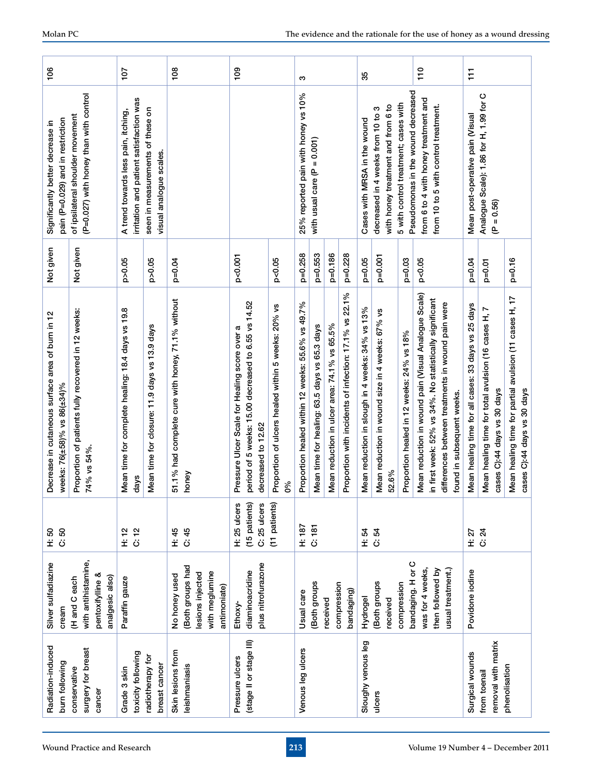| 107                                                                                                        | 108                                                                                    | $\frac{8}{100}$                                                                                                                                                                     | ო                                                                                                                                                                                                            | 110<br>35                                                                                                                                                                                                                                                                                                                        | $\overline{11}$                                                                                                                                                                                                                                                  |
|------------------------------------------------------------------------------------------------------------|----------------------------------------------------------------------------------------|-------------------------------------------------------------------------------------------------------------------------------------------------------------------------------------|--------------------------------------------------------------------------------------------------------------------------------------------------------------------------------------------------------------|----------------------------------------------------------------------------------------------------------------------------------------------------------------------------------------------------------------------------------------------------------------------------------------------------------------------------------|------------------------------------------------------------------------------------------------------------------------------------------------------------------------------------------------------------------------------------------------------------------|
| seen in measurements of these on<br>A trend towards less pain, itching,<br>visual analogue scales.         |                                                                                        |                                                                                                                                                                                     | with usual care ( $P = 0.001$ )                                                                                                                                                                              | decreased in 4 weeks from 10 to<br>Cases with MRSA in the wound                                                                                                                                                                                                                                                                  | Analogue Scale): 1.86 for H, 1.99 for C<br>Mean post-operative pain (Visual<br>$= 0.56$<br>Ë                                                                                                                                                                     |
| p > 0.05<br>p>0.05                                                                                         | $p=0.04$                                                                               | p<0.001<br>p<0.05                                                                                                                                                                   | p=0.258<br>$p=0.553$<br>p=0.186<br>$p=0.228$                                                                                                                                                                 | $p=0.001$<br>$p=0.05$<br>$p=0.03$<br>p<0.05                                                                                                                                                                                                                                                                                      | $p=0.16$<br>$p=0.04$<br>$p=0.01$                                                                                                                                                                                                                                 |
| Mean time for complete healing: 18.4 days vs 19.8<br>Mean time for closure: 11.9 days vs 13.9 days<br>days | 51.1% had complete cure with honey, 71.1% without<br>honey                             | period of 5 weeks: 15.00 decreased to 6.55 vs 14.52<br>Proportion of ulcers healed within 5 weeks: 20% vs<br>ಥ<br>Pressure Ulcer Scale for Healing score over<br>decreased to 12.62 | Proportion with incidents of infection: 17.1% vs 22.1%<br>Proportion healed within 12 weeks: 55.6% vs 49.7%<br>Mean reduction in ulcer area: 74.1% vs 65.5%<br>Mean time for healing: 63.5 days vs 65.3 days | Mean reduction in wound pain (Visual Analogue Scale)<br>in first week: 52% vs 34%. No statistically significant<br>differences between treatments in wound pain were<br>Mean reduction in slough in 4 weeks: 34% vs 13%<br>Mean reduction in wound size in 4 weeks: 67% vs<br>Proportion healed in 12 weeks: 24% vs 18%<br>52.6% | Mean healing time for partial avulsion (11 cases H, 17<br>Mean healing time for all cases: 33 days vs 25 days<br>Mean healing time for total avulsion (16 cases H, 7<br>cases C):44 days vs 30 days<br>cases C):44 days vs 30 days<br>found in subsequent weeks. |
| $\frac{2}{\tilde{C}}$<br>H: 12                                                                             | C: 45<br>H: 45                                                                         | (15 patients)<br>(11 patients)<br>H: 25 ulcers<br>C: 25 ulcers                                                                                                                      | 187<br>C: 181                                                                                                                                                                                                | H: 54<br>54<br>34                                                                                                                                                                                                                                                                                                                | ភ្គ<br>អប់                                                                                                                                                                                                                                                       |
| Paraffin gauze                                                                                             | Both groups had<br>with meglumine<br>lesions injected<br>No honey used<br>antimoniate) | plus nitrofurazone<br>diaminoacridine<br>Ethoxy-                                                                                                                                    | Both groups<br>compression<br>bandaging)<br>Usual care<br>received                                                                                                                                           | bandaging. H or C<br>was for 4 weeks,<br>then followed by<br>(Both groups<br>compression<br>Hydrogel<br>received                                                                                                                                                                                                                 | Povidone iodine                                                                                                                                                                                                                                                  |
| toxicity following<br>radiotherapy for<br>breast cancer<br>Grade 3 skin                                    | Skin lesions from<br>eishmaniasis                                                      | (stage II or stage III)<br>Pressure ulcers                                                                                                                                          | Venous leg ulcers                                                                                                                                                                                            | Sloughy venous leg<br>ulcers                                                                                                                                                                                                                                                                                                     | removal with matrix<br>Surgical wounds<br>phenolisation<br>from toenail                                                                                                                                                                                          |
|                                                                                                            | irritation and patient satisfaction was                                                |                                                                                                                                                                                     | 0%                                                                                                                                                                                                           | 25% reported pain with honey vs 10%                                                                                                                                                                                                                                                                                              | Pseudomonas in the wound decreased<br>from 6 to 4 with honey treatment and<br>5 with control treatment; cases with<br>with honey treatment and from 6 to<br>from 10 to 5 with control treatment.<br>ო<br>usual treatment.)                                       |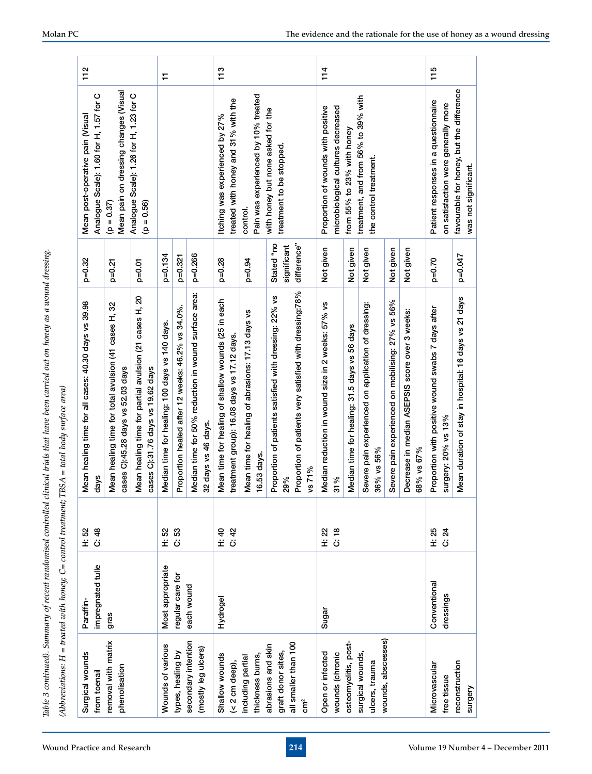| $\overline{\phantom{a}}$ |
|--------------------------|
|                          |
|                          |
|                          |
|                          |
|                          |
|                          |
|                          |
|                          |
|                          |
|                          |
|                          |
|                          |
| $\overline{\phantom{a}}$ |
|                          |
|                          |
|                          |
|                          |
|                          |
|                          |
|                          |
|                          |
|                          |
|                          |
|                          |
|                          |
|                          |
|                          |
|                          |

| Surgical wounds<br>from toenail            | impregnated tulle<br>Paraffin | $\frac{48}{5}$<br>52<br>ΪÖ      | Mean healing time for all cases: 40.30 days vs 39.98<br>days                                 | $p=0.32$                  | Analogue Scale): 1.60 for H, 1.57 for C<br>Mean post-operative pain (Visual |  |
|--------------------------------------------|-------------------------------|---------------------------------|----------------------------------------------------------------------------------------------|---------------------------|-----------------------------------------------------------------------------|--|
| removal with matrix<br>phenolisation       | gras                          |                                 | 32<br>Mean healing time for total avulsion (41 cases H,<br>cases C):45.28 days vs 52.03 days | $p=0.21$                  | Mean pain on dressing changes (Visual<br>$(p = 0.37)$                       |  |
|                                            |                               |                                 | Mean healing time for partial avulsion (21 cases H, 20<br>cases C):31.76 days vs 19.62 days  | $p=0.01$                  | Analogue Scale): 1.26 for H, 1.23 for C<br>$(p = 0.56)$                     |  |
| Wounds of various                          | Most appropriate              | 52<br>Ë                         | Median time for healing: 100 days vs 140 days.                                               | p=0.134                   |                                                                             |  |
| types, healing by                          | regular care for              | 53<br>ڗ                         | Proportion healed after 12 weeks: 46.2% vs 34.0%.                                            | p=0.321                   |                                                                             |  |
| secondary intention<br>(mostly leg ulcers) | each wound                    |                                 | Median time for 50% reduction in wound surface area:<br>32 days vs 46 days.                  | p=0.266                   |                                                                             |  |
| Shallow wounds                             | Hydrogel                      | 4<br>1<br>1<br>1<br>0<br>1<br>2 | Mean time for healing of shallow wounds (25 in each                                          | $p=0.28$                  | Itching was experienced by 27%                                              |  |
| $(2 \text{ cm} deep),$                     |                               |                                 | treatment group): 16.08 days vs 17.12 days.                                                  |                           | treated with honey and 31% with the                                         |  |
| thickness burns,<br>including partial      |                               |                                 | Mean time for healing of abrasions: 17.13 days vs<br>16.53 days                              | $p=0.94$                  | Pain was experienced by 10% treated<br>control                              |  |
| abrasions and skin<br>graft donor sites,   |                               |                                 | Proportion of patients satisfied with dressing: 22% vs<br>29%                                | Stated "no<br>significant | with honey but none asked for the<br>treatment to be stopped                |  |
| all smaller than 100<br>$\tilde{5}$        |                               |                                 | Proportion of patients very satisfied with dressing:78%<br>vs 71%                            | difference"               |                                                                             |  |
| Open or infected<br>wounds (chronic        | Sugar                         | H: 22<br>$rac{8}{c}$            | š<br>2 weeks: 57%<br>Median reduction in wound size in<br>31%                                | Not given                 | Proportion of wounds with positive<br>microbiological cultures decreased    |  |
| osteomyelitis, post-                       |                               |                                 | Median time for healing: 31.5 days vs 56 days                                                | Not given                 | from 55% to 23% with honey                                                  |  |
| surgical wounds,<br>ulcers, trauma         |                               |                                 | experienced on application of dressing:<br>36% vs 56%<br>Severe pain                         | Not given                 | treatment, and from 56% to 39% with<br>the control treatment.               |  |
| wounds, abscesses)                         |                               |                                 | Severe pain experienced on mobilising: 27% vs 56%                                            | Not given                 |                                                                             |  |
|                                            |                               |                                 | Decrease in median ASEPSIS score over 3 weeks:<br>68% vs 67%                                 | Not given                 |                                                                             |  |
| Microvascular<br>free tissue               | Conventional<br>dressings     | 25<br>$\overline{2}$<br>ΪÖ      | Proportion with positive wound swabs 7 days after<br>surgery: 20% vs 13%                     | $p=0.70$                  | Patient responses in a questionnaire<br>on satisfaction were generally more |  |
| reconstruction<br>Surgery                  |                               |                                 | Mean duration of stay in hospital: 16 days vs 21 days                                        | p=0.047                   | favourable for honey, but the difference<br>was not significant.            |  |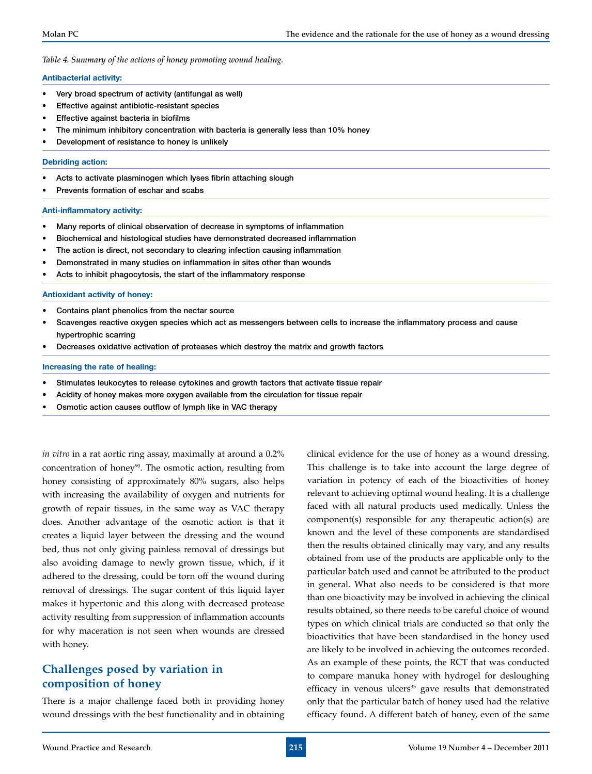*Table 4. Summary of the actions of honey promoting wound healing.*

#### **Antibacterial activity:**

- Very broad spectrum of activity (antifungal as well)
- Effective against antibiotic-resistant species
- **Effective against bacteria in biofilms**
- The minimum inhibitory concentration with bacteria is generally less than 10% honey
- Development of resistance to honey is unlikely

#### **Debriding action:**

- Acts to activate plasminogen which lyses fibrin attaching slough
- Prevents formation of eschar and scabs

#### **Anti-inflammatory activity:**

- • Many reports of clinical observation of decrease in symptoms of inflammation
- Biochemical and histological studies have demonstrated decreased inflammation
- The action is direct, not secondary to clearing infection causing inflammation
- Demonstrated in many studies on inflammation in sites other than wounds
- Acts to inhibit phagocytosis, the start of the inflammatory response

#### **Antioxidant activity of honey:**

- Contains plant phenolics from the nectar source
- Scavenges reactive oxygen species which act as messengers between cells to increase the inflammatory process and cause hypertrophic scarring
- Decreases oxidative activation of proteases which destroy the matrix and growth factors

#### **Increasing the rate of healing:**

- Stimulates leukocytes to release cytokines and growth factors that activate tissue repair
- Acidity of honey makes more oxygen available from the circulation for tissue repair
- Osmotic action causes outflow of lymph like in VAC therapy

*in vitro* in a rat aortic ring assay, maximally at around a 0.2% concentration of honey<sup>90</sup>. The osmotic action, resulting from honey consisting of approximately 80% sugars, also helps with increasing the availability of oxygen and nutrients for growth of repair tissues, in the same way as VAC therapy does. Another advantage of the osmotic action is that it creates a liquid layer between the dressing and the wound bed, thus not only giving painless removal of dressings but also avoiding damage to newly grown tissue, which, if it adhered to the dressing, could be torn off the wound during removal of dressings. The sugar content of this liquid layer makes it hypertonic and this along with decreased protease activity resulting from suppression of inflammation accounts for why maceration is not seen when wounds are dressed with honey.

# **Challenges posed by variation in composition of honey**

There is a major challenge faced both in providing honey wound dressings with the best functionality and in obtaining clinical evidence for the use of honey as a wound dressing. This challenge is to take into account the large degree of variation in potency of each of the bioactivities of honey relevant to achieving optimal wound healing. It is a challenge faced with all natural products used medically. Unless the component(s) responsible for any therapeutic action(s) are known and the level of these components are standardised then the results obtained clinically may vary, and any results obtained from use of the products are applicable only to the particular batch used and cannot be attributed to the product in general. What also needs to be considered is that more than one bioactivity may be involved in achieving the clinical results obtained, so there needs to be careful choice of wound types on which clinical trials are conducted so that only the bioactivities that have been standardised in the honey used are likely to be involved in achieving the outcomes recorded. As an example of these points, the RCT that was conducted to compare manuka honey with hydrogel for desloughing efficacy in venous ulcers<sup>35</sup> gave results that demonstrated only that the particular batch of honey used had the relative efficacy found. A different batch of honey, even of the same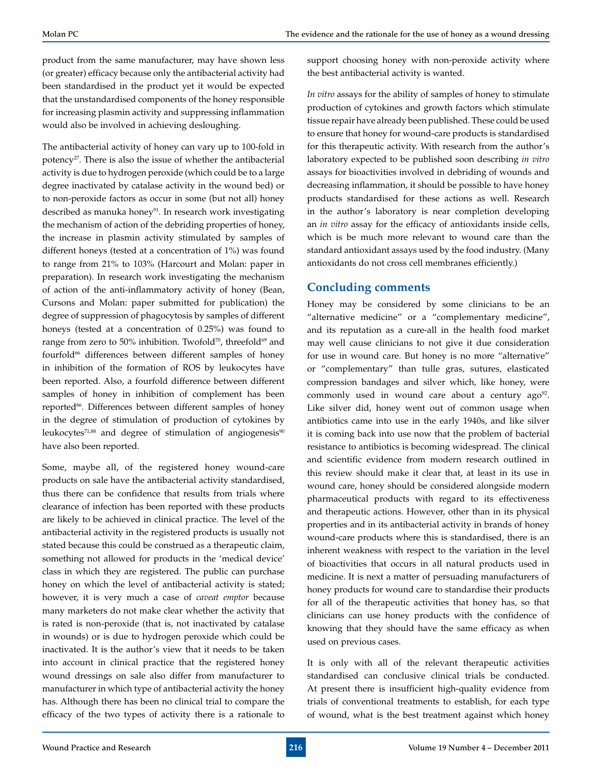product from the same manufacturer, may have shown less (or greater) efficacy because only the antibacterial activity had been standardised in the product yet it would be expected that the unstandardised components of the honey responsible for increasing plasmin activity and suppressing inflammation would also be involved in achieving desloughing.

The antibacterial activity of honey can vary up to 100-fold in potency<sup>27</sup>. There is also the issue of whether the antibacterial activity is due to hydrogen peroxide (which could be to a large degree inactivated by catalase activity in the wound bed) or to non-peroxide factors as occur in some (but not all) honey described as manuka honey<sup>91</sup>. In research work investigating the mechanism of action of the debriding properties of honey, the increase in plasmin activity stimulated by samples of different honeys (tested at a concentration of 1%) was found to range from 21% to 103% (Harcourt and Molan: paper in preparation). In research work investigating the mechanism of action of the anti-inflammatory activity of honey (Bean, Cursons and Molan: paper submitted for publication) the degree of suppression of phagocytosis by samples of different honeys (tested at a concentration of 0.25%) was found to range from zero to 50% inhibition. Twofold<sup>70</sup>, threefold<sup>69</sup> and fourfold<sup>66</sup> differences between different samples of honey in inhibition of the formation of ROS by leukocytes have been reported. Also, a fourfold difference between different samples of honey in inhibition of complement has been reported<sup>66</sup>. Differences between different samples of honey in the degree of stimulation of production of cytokines by leukocytes $71,88$  and degree of stimulation of angiogenesis $90$ have also been reported.

Some, maybe all, of the registered honey wound-care products on sale have the antibacterial activity standardised, thus there can be confidence that results from trials where clearance of infection has been reported with these products are likely to be achieved in clinical practice. The level of the antibacterial activity in the registered products is usually not stated because this could be construed as a therapeutic claim, something not allowed for products in the 'medical device' class in which they are registered. The public can purchase honey on which the level of antibacterial activity is stated; however, it is very much a case of *caveat emptor* because many marketers do not make clear whether the activity that is rated is non-peroxide (that is, not inactivated by catalase in wounds) or is due to hydrogen peroxide which could be inactivated. It is the author's view that it needs to be taken into account in clinical practice that the registered honey wound dressings on sale also differ from manufacturer to manufacturer in which type of antibacterial activity the honey has. Although there has been no clinical trial to compare the efficacy of the two types of activity there is a rationale to

support choosing honey with non-peroxide activity where the best antibacterial activity is wanted.

*In vitro* assays for the ability of samples of honey to stimulate production of cytokines and growth factors which stimulate tissue repair have already been published. These could be used to ensure that honey for wound-care products is standardised for this therapeutic activity. With research from the author's laboratory expected to be published soon describing *in vitro* assays for bioactivities involved in debriding of wounds and decreasing inflammation, it should be possible to have honey products standardised for these actions as well. Research in the author's laboratory is near completion developing an *in vitro* assay for the efficacy of antioxidants inside cells, which is be much more relevant to wound care than the standard antioxidant assays used by the food industry. (Many antioxidants do not cross cell membranes efficiently.)

## **Concluding comments**

Honey may be considered by some clinicians to be an "alternative medicine" or a "complementary medicine", and its reputation as a cure-all in the health food market may well cause clinicians to not give it due consideration for use in wound care. But honey is no more "alternative" or "complementary" than tulle gras, sutures, elasticated compression bandages and silver which, like honey, were commonly used in wound care about a century  $ago^{92}$ . Like silver did, honey went out of common usage when antibiotics came into use in the early 1940s, and like silver it is coming back into use now that the problem of bacterial resistance to antibiotics is becoming widespread. The clinical and scientific evidence from modern research outlined in this review should make it clear that, at least in its use in wound care, honey should be considered alongside modern pharmaceutical products with regard to its effectiveness and therapeutic actions. However, other than in its physical properties and in its antibacterial activity in brands of honey wound-care products where this is standardised, there is an inherent weakness with respect to the variation in the level of bioactivities that occurs in all natural products used in medicine. It is next a matter of persuading manufacturers of honey products for wound care to standardise their products for all of the therapeutic activities that honey has, so that clinicians can use honey products with the confidence of knowing that they should have the same efficacy as when used on previous cases.

It is only with all of the relevant therapeutic activities standardised can conclusive clinical trials be conducted. At present there is insufficient high-quality evidence from trials of conventional treatments to establish, for each type of wound, what is the best treatment against which honey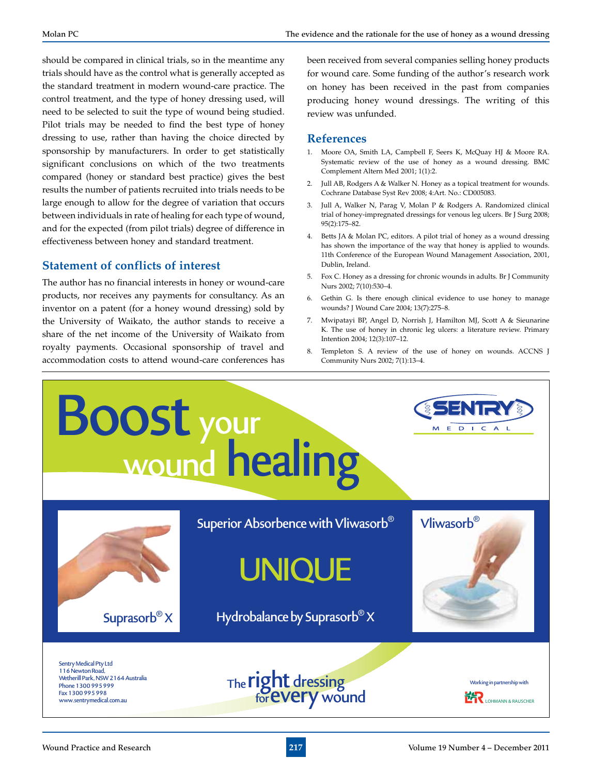should be compared in clinical trials, so in the meantime any trials should have as the control what is generally accepted as the standard treatment in modern wound-care practice. The control treatment, and the type of honey dressing used, will need to be selected to suit the type of wound being studied. Pilot trials may be needed to find the best type of honey dressing to use, rather than having the choice directed by sponsorship by manufacturers. In order to get statistically significant conclusions on which of the two treatments compared (honey or standard best practice) gives the best results the number of patients recruited into trials needs to be large enough to allow for the degree of variation that occurs between individuals in rate of healing for each type of wound, and for the expected (from pilot trials) degree of difference in effectiveness between honey and standard treatment.

#### **Statement of conflicts of interest**

The author has no financial interests in honey or wound-care products, nor receives any payments for consultancy. As an inventor on a patent (for a honey wound dressing) sold by the University of Waikato, the author stands to receive a share of the net income of the University of Waikato from royalty payments. Occasional sponsorship of travel and accommodation costs to attend wound-care conferences has

been received from several companies selling honey products for wound care. Some funding of the author's research work on honey has been received in the past from companies producing honey wound dressings. The writing of this review was unfunded.

#### **References**

- 1. Moore OA, Smith LA, Campbell F, Seers K, McQuay HJ & Moore RA. Systematic review of the use of honey as a wound dressing. BMC Complement Altern Med 2001; 1(1):2.
- 2. Jull AB, Rodgers A & Walker N. Honey as a topical treatment for wounds. Cochrane Database Syst Rev 2008; 4:Art. No.: CD005083.
- 3. Jull A, Walker N, Parag V, Molan P & Rodgers A. Randomized clinical trial of honey-impregnated dressings for venous leg ulcers. Br J Surg 2008; 95(2):175–82.
- 4. Betts JA & Molan PC, editors. A pilot trial of honey as a wound dressing has shown the importance of the way that honey is applied to wounds. 11th Conference of the European Wound Management Association, 2001, Dublin, Ireland.
- 5. Fox C. Honey as a dressing for chronic wounds in adults. Br J Community Nurs 2002; 7(10):530–4.
- 6. Gethin G. Is there enough clinical evidence to use honey to manage wounds? J Wound Care 2004; 13(7):275–8.
- 7. Mwipatayi BP, Angel D, Norrish J, Hamilton MJ, Scott A & Sieunarine K. The use of honey in chronic leg ulcers: a literature review. Primary Intention 2004; 12(3):107–12.
- Templeton S. A review of the use of honey on wounds. ACCNS J Community Nurs 2002; 7(1):13–4.

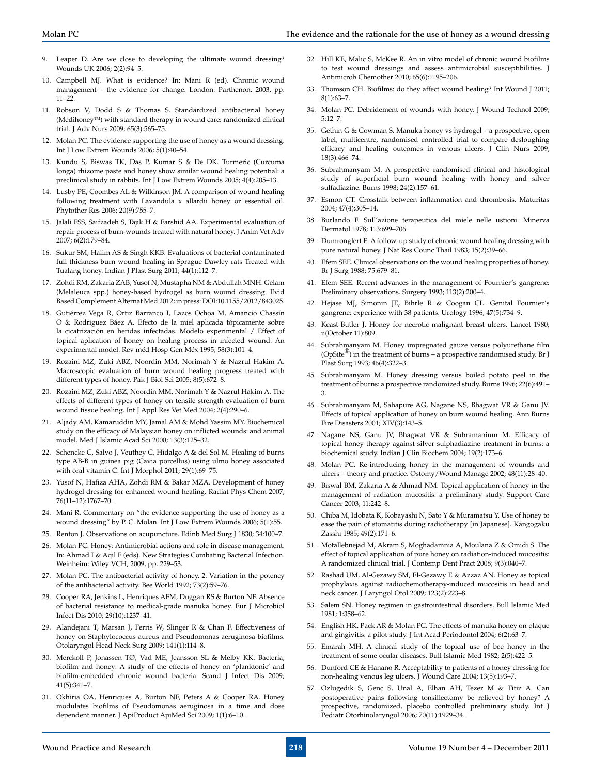- 9. Leaper D. Are we close to developing the ultimate wound dressing? Wounds UK 2006; 2(2):94–5.
- 10. Campbell MJ. What is evidence? In: Mani R (ed). Chronic wound management – the evidence for change. London: Parthenon, 2003, pp. 11–22.
- 11. Robson V, Dodd S & Thomas S. Standardized antibacterial honey (Medihoney<sup>™</sup>) with standard therapy in wound care: randomized clinical trial. J Adv Nurs 2009; 65(3):565–75.
- 12. Molan PC. The evidence supporting the use of honey as a wound dressing. Int J Low Extrem Wounds 2006; 5(1):40–54.
- 13. Kundu S, Biswas TK, Das P, Kumar S & De DK. Turmeric (Curcuma longa) rhizome paste and honey show similar wound healing potential: a preclinical study in rabbits. Int J Low Extrem Wounds 2005; 4(4):205–13.
- 14. Lusby PE, Coombes AL & Wilkinson JM. A comparison of wound healing following treatment with Lavandula x allardii honey or essential oil. Phytother Res 2006; 20(9):755–7.
- 15. Jalali FSS, Saifzadeh S, Tajik H & Farshid AA. Experimental evaluation of repair process of burn-wounds treated with natural honey. J Anim Vet Adv 2007; 6(2):179–84.
- 16. Sukur SM, Halim AS & Singh KKB. Evaluations of bacterial contaminated full thickness burn wound healing in Sprague Dawley rats Treated with Tualang honey. Indian J Plast Surg 2011; 44(1):112–7.
- 17. Zohdi RM, Zakaria ZAB, Yusof N, Mustapha NM & Abdullah MNH. Gelam (Melaleuca spp.) honey-based hydrogel as burn wound dressing. Evid Based Complement Alternat Med 2012; in press: DOI:10.1155/2012/843025.
- 18. Gutiérrez Vega R, Ortiz Barranco I, Lazos Ochoa M, Amancio Chassín O & Rodríguez Báez A. Efecto de la miel aplicada tópicamente sobre la cicatrización en heridas infectadas. Modelo experimental / Effect of topical aplication of honey on healing process in infected wound. An experimental model. Rev méd Hosp Gen Méx 1995; 58(3):101–4.
- 19. Rozaini MZ, Zuki ABZ, Noordin MM, Norimah Y & Nazrul Hakim A. Macroscopic evaluation of burn wound healing progress treated with different types of honey. Pak J Biol Sci 2005; 8(5):672–8.
- 20. Rozaini MZ, Zuki ABZ, Noordin MM, Norimah Y & Nazrul Hakim A. The effects of different types of honey on tensile strength evaluation of burn wound tissue healing. Int J Appl Res Vet Med 2004; 2(4):290–6.
- 21. Aljady AM, Kamaruddin MY, Jamal AM & Mohd Yassim MY. Biochemical study on the efficacy of Malaysian honey on inflicted wounds: and animal model. Med J Islamic Acad Sci 2000; 13(3):125–32.
- 22. Schencke C, Salvo J, Veuthey C, Hidalgo A & del Sol M. Healing of burns type AB-B in guinea pig (Cavia porcellus) using ulmo honey associated with oral vitamin C. Int J Morphol 2011; 29(1):69–75.
- Yusof N, Hafiza AHA, Zohdi RM & Bakar MZA. Development of honey hydrogel dressing for enhanced wound healing. Radiat Phys Chem 2007; 76(11–12):1767–70.
- 24. Mani R. Commentary on "the evidence supporting the use of honey as a wound dressing" by P. C. Molan. Int J Low Extrem Wounds 2006; 5(1):55.
- 25. Renton J. Observations on acupuncture. Edinb Med Surg J 1830; 34:100–7.
- Molan PC. Honey: Antimicrobial actions and role in disease management. In: Ahmad I & Aqil F (eds). New Strategies Combating Bacterial Infection. Weinheim: Wiley VCH, 2009, pp. 229–53.
- 27. Molan PC. The antibacterial activity of honey. 2. Variation in the potency of the antibacterial activity. Bee World 1992; 73(2):59–76.
- 28. Cooper RA, Jenkins L, Henriques AFM, Duggan RS & Burton NF. Absence of bacterial resistance to medical-grade manuka honey. Eur J Microbiol Infect Dis 2010; 29(10):1237–41.
- 29. Alandejani T, Marsan J, Ferris W, Slinger R & Chan F. Effectiveness of honey on Staphylococcus aureus and Pseudomonas aeruginosa biofilms. Otolaryngol Head Neck Surg 2009; 141(1):114–8.
- Merckoll P, Jonassen TØ, Vad ME, Jeansson SL & Melby KK. Bacteria, biofilm and honey: A study of the effects of honey on 'planktonic' and biofilm-embedded chronic wound bacteria. Scand J Infect Dis 2009; 41(5):341–7.
- 31. Okhiria OA, Henriques A, Burton NF, Peters A & Cooper RA. Honey modulates biofilms of Pseudomonas aeruginosa in a time and dose dependent manner. J ApiProduct ApiMed Sci 2009; 1(1):6–10.
- 32. Hill KE, Malic S, McKee R. An in vitro model of chronic wound biofilms to test wound dressings and assess antimicrobial susceptibilities. J Antimicrob Chemother 2010; 65(6):1195–206.
- 33. Thomson CH. Biofilms: do they affect wound healing? Int Wound J 2011; 8(1):63–7.
- 34. Molan PC. Debridement of wounds with honey. J Wound Technol 2009; 5:12–7.
- 35. Gethin G & Cowman S. Manuka honey vs hydrogel a prospective, open label, multicentre, randomised controlled trial to compare desloughing efficacy and healing outcomes in venous ulcers. J Clin Nurs 2009; 18(3):466–74.
- 36. Subrahmanyam M. A prospective randomised clinical and histological study of superficial burn wound healing with honey and silver sulfadiazine. Burns 1998; 24(2):157–61.
- 37. Esmon CT. Crosstalk between inflammation and thrombosis. Maturitas 2004; 47(4):305–14.
- 38. Burlando F. Sull'azione terapeutica del miele nelle ustioni. Minerva Dermatol 1978; 113:699–706.
- 39. Dumronglert E. A follow-up study of chronic wound healing dressing with pure natural honey. J Nat Res Counc Thail 1983; 15(2):39–66.
- 40. Efem SEE. Clinical observations on the wound healing properties of honey. Br J Surg 1988; 75:679–81.
- 41. Efem SEE. Recent advances in the management of Fournier's gangrene: Preliminary observations. Surgery 1993; 113(2):200–4.
- 42. Hejase MJ, Simonin JE, Bihrle R & Coogan CL. Genital Fournier's gangrene: experience with 38 patients. Urology 1996; 47(5):734–9.
- 43. Keast-Butler J. Honey for necrotic malignant breast ulcers. Lancet 1980; ii(October 11):809.
- 44. Subrahmanyam M. Honey impregnated gauze versus polyurethane film (OpSite<sup>®</sup>) in the treatment of burns – a prospective randomised study. Br J Plast Surg 1993; 46(4):322–3.
- 45. Subrahmanyam M. Honey dressing versus boiled potato peel in the treatment of burns: a prospective randomized study. Burns 1996; 22(6):491– 3.
- 46. Subrahmanyam M, Sahapure AG, Nagane NS, Bhagwat VR & Ganu JV. Effects of topical application of honey on burn wound healing. Ann Burns Fire Disasters 2001; XIV(3):143–5.
- 47. Nagane NS, Ganu JV, Bhagwat VR & Subramanium M. Efficacy of topical honey therapy against silver sulphadiazine treatment in burns: a biochemical study. Indian J Clin Biochem 2004; 19(2):173–6.
- 48. Molan PC. Re-introducing honey in the management of wounds and ulcers – theory and practice. Ostomy/Wound Manage 2002; 48(11):28–40.
- 49. Biswal BM, Zakaria A & Ahmad NM. Topical application of honey in the management of radiation mucositis: a preliminary study. Support Care Cancer 2003; 11:242–8.
- 50. Chiba M, Idobata K, Kobayashi N, Sato Y & Muramatsu Y. Use of honey to ease the pain of stomatitis during radiotherapy [in Japanese]. Kangogaku Zasshi 1985; 49(2):171–6.
- 51. Motallebnejad M, Akram S, Moghadamnia A, Moulana Z & Omidi S. The effect of topical application of pure honey on radiation-induced mucositis: A randomized clinical trial. J Contemp Dent Pract 2008; 9(3):040–7.
- 52. Rashad UM, Al-Gezawy SM, El-Gezawy E & Azzaz AN. Honey as topical prophylaxis against radiochemotherapy-induced mucositis in head and neck cancer. J Laryngol Otol 2009; 123(2):223–8.
- 53. Salem SN. Honey regimen in gastrointestinal disorders. Bull Islamic Med 1981; 1:358–62.
- 54. English HK, Pack AR & Molan PC. The effects of manuka honey on plaque and gingivitis: a pilot study. J Int Acad Periodontol 2004; 6(2):63–7.
- 55. Emarah MH. A clinical study of the topical use of bee honey in the treatment of some ocular diseases. Bull Islamic Med 1982; 2(5):422–5.
- 56. Dunford CE & Hanano R. Acceptability to patients of a honey dressing for non-healing venous leg ulcers. J Wound Care 2004; 13(5):193–7.
- 57. Ozlugedik S, Genc S, Unal A, Elhan AH, Tezer M & Titiz A. Can postoperative pains following tonsillectomy be relieved by honey? A prospective, randomized, placebo controlled preliminary study. Int J Pediatr Otorhinolaryngol 2006; 70(11):1929–34.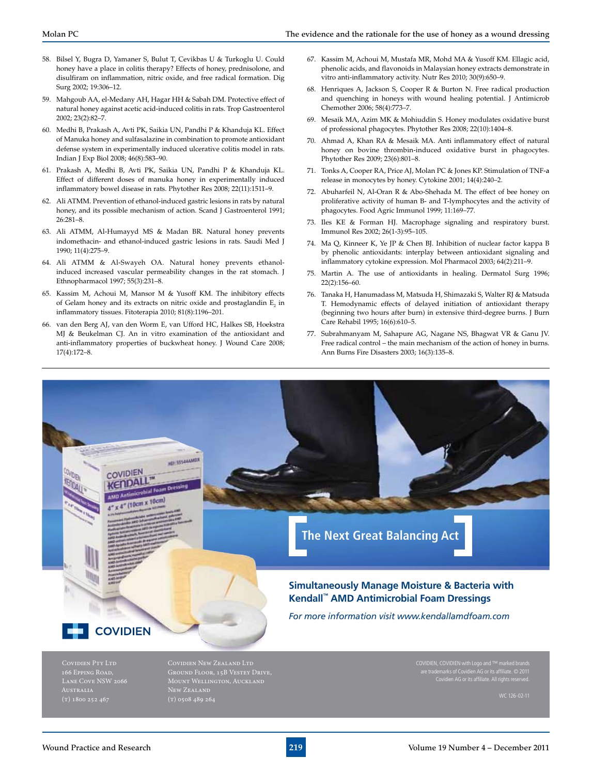- 58. Bilsel Y, Bugra D, Yamaner S, Bulut T, Cevikbas U & Turkoglu U. Could honey have a place in colitis therapy? Effects of honey, prednisolone, and disulfiram on inflammation, nitric oxide, and free radical formation. Dig
- 59. Mahgoub AA, el-Medany AH, Hagar HH & Sabah DM. Protective effect of natural honey against acetic acid-induced colitis in rats. Trop Gastroenterol 2002; 23(2):82–7.
- 60. Medhi B, Prakash A, Avti PK, Saikia UN, Pandhi P & Khanduja KL. Effect of Manuka honey and sulfasalazine in combination to promote antioxidant defense system in experimentally induced ulcerative colitis model in rats. Indian J Exp Biol 2008; 46(8):583–90.
- 61. Prakash A, Medhi B, Avti PK, Saikia UN, Pandhi P & Khanduja KL. Effect of different doses of manuka honey in experimentally induced inflammatory bowel disease in rats. Phytother Res 2008; 22(11):1511–9.
- 62. Ali ATMM. Prevention of ethanol-induced gastric lesions in rats by natural honey, and its possible mechanism of action. Scand J Gastroenterol 1991; 26:281–8.
- 63. Ali ATMM, Al-Humayyd MS & Madan BR. Natural honey prevents indomethacin- and ethanol-induced gastric lesions in rats. Saudi Med J 1990; 11(4):275–9.
- 64. Ali ATMM & Al-Swayeh OA. Natural honey prevents ethanolinduced increased vascular permeability changes in the rat stomach. J Ethnopharmacol 1997; 55(3):231–8.
- 65. Kassim M, Achoui M, Mansor M & Yusoff KM. The inhibitory effects of Gelam honey and its extracts on nitric oxide and prostaglandin  $\mathbb{E}_{2}$  in inflammatory tissues. Fitoterapia 2010; 81(8):1196–201.
- 66. van den Berg AJ, van den Worm E, van Ufford HC, Halkes SB, Hoekstra MJ & Beukelman CJ. An in vitro examination of the antioxidant and anti-inflammatory properties of buckwheat honey. J Wound Care 2008; 17(4):172–8.
- 67. Kassim M, Achoui M, Mustafa MR, Mohd MA & Yusoff KM. Ellagic acid, phenolic acids, and flavonoids in Malaysian honey extracts demonstrate in vitro anti-inflammatory activity. Nutr Res 2010; 30(9):650–9.
- 68. Henriques A, Jackson S, Cooper R & Burton N. Free radical production and quenching in honeys with wound healing potential. J Antimicrob Chemother 2006; 58(4):773–7.
- 69. Mesaik MA, Azim MK & Mohiuddin S. Honey modulates oxidative burst of professional phagocytes. Phytother Res 2008; 22(10):1404–8.
- 70. Ahmad A, Khan RA & Mesaik MA. Anti inflammatory effect of natural honey on bovine thrombin-induced oxidative burst in phagocytes. Phytother Res 2009; 23(6):801–8.
- 71. Tonks A, Cooper RA, Price AJ, Molan PC & Jones KP. Stimulation of TNF-a release in monocytes by honey. Cytokine 2001; 14(4):240–2.
- 72. Abuharfeil N, Al-Oran R & Abo-Shehada M. The effect of bee honey on proliferative activity of human B- and T-lymphocytes and the activity of phagocytes. Food Agric Immunol 1999; 11:169–77.
- 73. Iles KE & Forman HJ. Macrophage signaling and respiratory burst. Immunol Res 2002; 26(1-3):95–105.
- 74. Ma Q, Kinneer K, Ye JP & Chen BJ. Inhibition of nuclear factor kappa B by phenolic antioxidants: interplay between antioxidant signaling and inflammatory cytokine expression. Mol Pharmacol 2003; 64(2):211–9.
- 75. Martin A. The use of antioxidants in healing. Dermatol Surg 1996; 22(2):156–60.
- 76. Tanaka H, Hanumadass M, Matsuda H, Shimazaki S, Walter RJ & Matsuda T. Hemodynamic effects of delayed initiation of antioxidant therapy (beginning two hours after burn) in extensive third-degree burns. J Burn Care Rehabil 1995; 16(6):610–5.
- 77. Subrahmanyam M, Sahapure AG, Nagane NS, Bhagwat VR & Ganu JV. Free radical control – the main mechanism of the action of honey in burns. Ann Burns Fire Disasters 2003; 16(3):135–8.



Covidien AG or its affiliate. All rights reserved.

1.1 EW ZEALAND<br>
(T) 0508 489 264 WC 126-02-11

Surg 2002; 19:306–12.

Lane Cove NSW 2066

Mount Wellington, Auckland

New Zealand